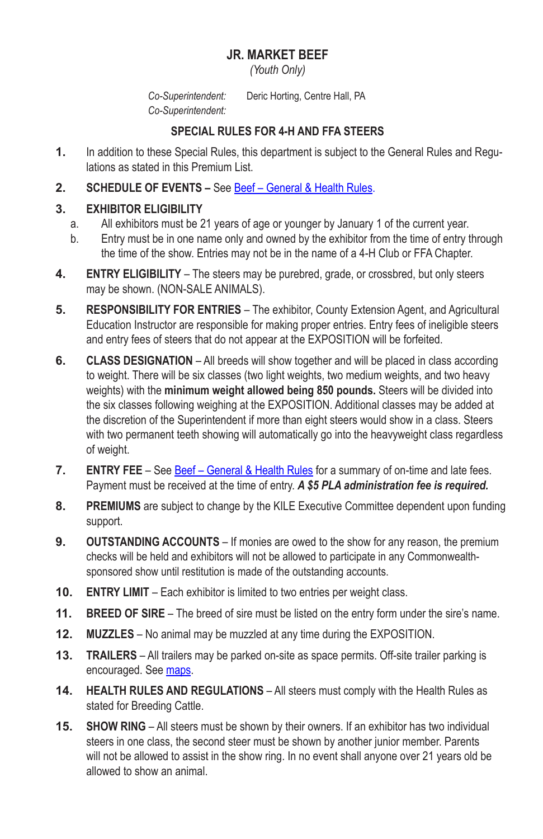## **JR. MARKET BEEF**

*(Youth Only)*

*Co-Superintendent:* Deric Horting, Centre Hall, PA *Co-Superintendent:*

## **SPECIAL RULES FOR 4‑H AND FFA STEERS**

- **1.** In addition to these Special Rules, this department is subject to the General Rules and Regulations as stated in this Premium List.
- **2. SCHEDULE OF EVENTS** See Beef General & Health Rules.

# **3. EXHIBITOR ELIGIBILITY**

- a. All exhibitors must be 21 years of age or younger by January 1 of the current year.
- b. Entry must be in one name only and owned by the exhibitor from the time of entry through the time of the show. Entries may not be in the name of a 4‑H Club or FFA Chapter.
- **4. ENTRY ELIGIBILITY** The steers may be purebred, grade, or crossbred, but only steers may be shown. (NON-SALE ANIMALS).
- **5. RESPONSIBILITY FOR ENTRIES** The exhibitor, County Extension Agent, and Agricultural Education Instructor are responsible for making proper entries. Entry fees of ineligible steers and entry fees of steers that do not appear at the EXPOSITION will be forfeited.
- **6. CLASS DESIGNATION** All breeds will show together and will be placed in class according to weight. There will be six classes (two light weights, two medium weights, and two heavy weights) with the **minimum weight allowed being 850 pounds.** Steers will be divided into the six classes following weighing at the EXPOSITION. Additional classes may be added at the discretion of the Superintendent if more than eight steers would show in a class. Steers with two permanent teeth showing will automatically go into the heavyweight class regardless of weight.
- **7. ENTRY FEE** See **Beef General & Health Rules** for a summary of on-time and late fees. Payment must be received at the time of entry. *A \$5 PLA administration fee is required.*
- **8. PREMIUMS** are subject to change by the KILE Executive Committee dependent upon funding support.
- **9. OUTSTANDING ACCOUNTS** If monies are owed to the show for any reason, the premium checks will be held and exhibitors will not be allowed to participate in any Commonwealthsponsored show until restitution is made of the outstanding accounts.
- **10. ENTRY LIMIT** Each exhibitor is limited to two entries per weight class.
- **11. BREED OF SIRE** The breed of sire must be listed on the entry form under the sire's name.
- **12. MUZZLES** No animal may be muzzled at any time during the EXPOSITION.
- **13. TRAILERS** All trailers may be parked on-site as space permits. Off-site trailer parking is encouraged. See maps.
- **14. HEALTH RULES AND REGULATIONS** All steers must comply with the Health Rules as stated for Breeding Cattle.
- **15. SHOW RING** All steers must be shown by their owners. If an exhibitor has two individual steers in one class, the second steer must be shown by another junior member. Parents will not be allowed to assist in the show ring. In no event shall anyone over 21 years old be allowed to show an animal.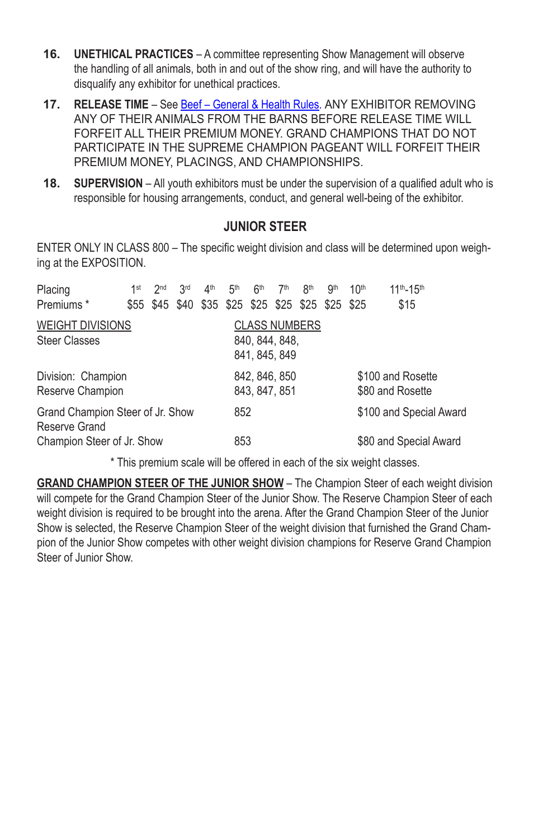- **16. UNETHICAL PRACTICES** A committee representing Show Management will observe the handling of all animals, both in and out of the show ring, and will have the authority to disqualify any exhibitor for unethical practices.
- **17. RELEASE TIME** See Beef General & Health Rules. ANY EXHIBITOR REMOVING ANY OF THEIR ANIMALS FROM THE BARNS BEFORE RELEASE TIME WILL FORFEIT ALL THEIR PREMIUM MONEY. GRAND CHAMPIONS THAT DO NOT PARTICIPATE IN THE SUPREME CHAMPION PAGEANT WILL FORFEIT THEIR PREMIUM MONEY, PLACINGS, AND CHAMPIONSHIPS.
- **18. SUPERVISION** All youth exhibitors must be under the supervision of a qualified adult who is responsible for housing arrangements, conduct, and general well-being of the exhibitor.

### **JUNIOR STEER**

ENTER ONLY IN CLASS 800 - The specific weight division and class will be determined upon weighing at the EXPOSITION.

| Placing                          | 1st | 2 <sub>nd</sub> | 3rd | 4 <sup>th</sup> | 5 <sup>th</sup> | 6 <sup>th</sup> | 7 <sup>th</sup>                                   | 8 <sup>th</sup> | gth | 10 <sup>th</sup>        | $11^{th} - 15^{th}$ |  |
|----------------------------------|-----|-----------------|-----|-----------------|-----------------|-----------------|---------------------------------------------------|-----------------|-----|-------------------------|---------------------|--|
| Premiums <sup>*</sup>            |     |                 |     |                 |                 |                 | \$55 \$45 \$40 \$35 \$25 \$25 \$25 \$25 \$25 \$25 |                 |     |                         | \$15                |  |
| <b>WEIGHT DIVISIONS</b>          |     |                 |     |                 |                 |                 | <b>CLASS NUMBERS</b>                              |                 |     |                         |                     |  |
| <b>Steer Classes</b>             |     |                 |     |                 | 840, 844, 848,  |                 |                                                   |                 |     |                         |                     |  |
|                                  |     |                 |     |                 |                 |                 | 841, 845, 849                                     |                 |     |                         |                     |  |
| Division: Champion               |     |                 |     |                 | 842, 846, 850   |                 |                                                   |                 |     | \$100 and Rosette       |                     |  |
| Reserve Champion                 |     |                 |     |                 | 843, 847, 851   |                 |                                                   |                 |     |                         | \$80 and Rosette    |  |
| Grand Champion Steer of Jr. Show |     |                 |     |                 | 852             |                 |                                                   |                 |     | \$100 and Special Award |                     |  |
| Reserve Grand                    |     |                 |     |                 |                 |                 |                                                   |                 |     |                         |                     |  |
| Champion Steer of Jr. Show       |     |                 |     |                 | 853             |                 |                                                   |                 |     | \$80 and Special Award  |                     |  |

\* This premium scale will be offered in each of the six weight classes.

**GRAND CHAMPION STEER OF THE JUNIOR SHOW** – The Champion Steer of each weight division will compete for the Grand Champion Steer of the Junior Show. The Reserve Champion Steer of each weight division is required to be brought into the arena. After the Grand Champion Steer of the Junior Show is selected, the Reserve Champion Steer of the weight division that furnished the Grand Champion of the Junior Show competes with other weight division champions for Reserve Grand Champion Steer of Junior Show.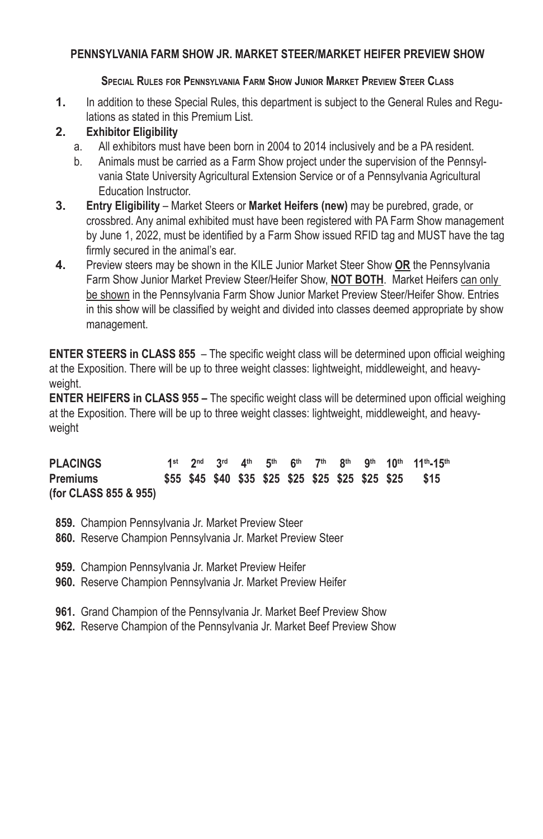#### **PENNSYLVANIA FARM SHOW JR. MARKET STEER/MARKET HEIFER PREVIEW SHOW**

#### **Special Rules for Pennsylvania Farm Show Junior Market Preview Steer Class**

**1.** In addition to these Special Rules, this department is subject to the General Rules and Regulations as stated in this Premium List.

### **2. Exhibitor Eligibility**

- a. All exhibitors must have been born in 2004 to 2014 inclusively and be a PA resident.
- b. Animals must be carried as a Farm Show project under the supervision of the Pennsylvania State University Agricultural Extension Service or of a Pennsylvania Agricultural Education Instructor.
- **3. Entry Eligibility** Market Steers or **Market Heifers (new)** may be purebred, grade, or crossbred. Any animal exhibited must have been registered with PA Farm Show management by June 1, 2022, must be identified by a Farm Show issued RFID tag and MUST have the tag firmly secured in the animal's ear.
- **4.** Preview steers may be shown in the KILE Junior Market Steer Show **OR** the Pennsylvania Farm Show Junior Market Preview Steer/Heifer Show, **NOT BOTH**. Market Heifers can only be shown in the Pennsylvania Farm Show Junior Market Preview Steer/Heifer Show. Entries in this show will be classified by weight and divided into classes deemed appropriate by show management.

**ENTER STEERS in CLASS 855** – The specific weight class will be determined upon official weighing at the Exposition. There will be up to three weight classes: lightweight, middleweight, and heavyweight.

**ENTER HEIFERS in CLASS 955 –** The specific weight class will be determined upon official weighing at the Exposition. There will be up to three weight classes: lightweight, middleweight, and heavyweight

**PLACINGS 1st 2nd 3rd 4th 5th 6th 7th 8th 9th 10th 11th-15th Premiums \$55 \$45 \$40 \$35 \$25 \$25 \$25 \$25 \$25 \$25 \$15 (for CLASS 855 & 955)**

- **859.** Champion Pennsylvania Jr. Market Preview Steer
- **860.** Reserve Champion Pennsylvania Jr. Market Preview Steer
- **959.** Champion Pennsylvania Jr. Market Preview Heifer
- **960.** Reserve Champion Pennsylvania Jr. Market Preview Heifer
- **961.** Grand Champion of the Pennsylvania Jr. Market Beef Preview Show
- **962.** Reserve Champion of the Pennsylvania Jr. Market Beef Preview Show